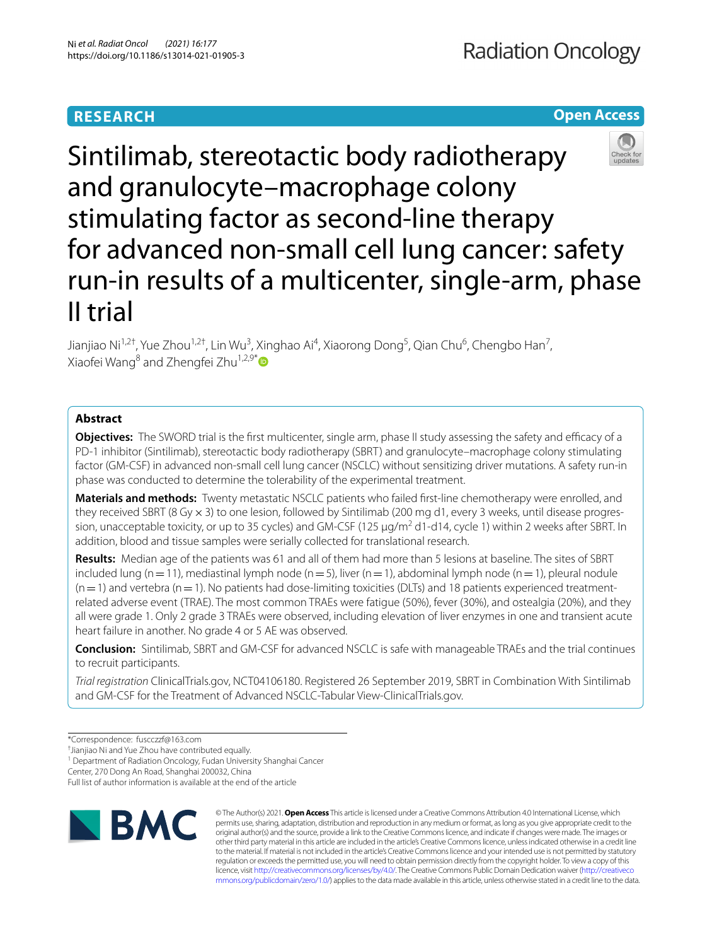# **RESEARCH**

## **Open Access**



Sintilimab, stereotactic body radiotherapy and granulocyte–macrophage colony stimulating factor as second-line therapy for advanced non-small cell lung cancer: safety run-in results of a multicenter, single-arm, phase II trial

Jianjiao Ni<sup>1,2†</sup>, Yue Zhou<sup>1,2†</sup>, Lin Wu<sup>3</sup>, Xinghao Ai<sup>4</sup>, Xiaorong Dong<sup>5</sup>, Qian Chu<sup>6</sup>, Chengbo Han<sup>7</sup>, Xiaofei Wang<sup>8</sup> and Zhengfei Zhu<sup>1,2,9[\\*](http://orcid.org/0000-0001-7537-3619)</sup>

## **Abstract**

**Objectives:** The SWORD trial is the first multicenter, single arm, phase II study assessing the safety and efficacy of a PD-1 inhibitor (Sintilimab), stereotactic body radiotherapy (SBRT) and granulocyte–macrophage colony stimulating factor (GM-CSF) in advanced non-small cell lung cancer (NSCLC) without sensitizing driver mutations. A safety run-in phase was conducted to determine the tolerability of the experimental treatment.

**Materials and methods:** Twenty metastatic NSCLC patients who failed frst-line chemotherapy were enrolled, and they received SBRT (8 Gy x 3) to one lesion, followed by Sintilimab (200 mg d1, every 3 weeks, until disease progression, unacceptable toxicity, or up to 35 cycles) and GM-CSF (125 μg/m<sup>2</sup> d1-d14, cycle 1) within 2 weeks after SBRT. In addition, blood and tissue samples were serially collected for translational research.

**Results:** Median age of the patients was 61 and all of them had more than 5 lesions at baseline. The sites of SBRT included lung (n=11), mediastinal lymph node (n=5), liver (n=1), abdominal lymph node (n=1), pleural nodule  $(n=1)$  and vertebra (n=1). No patients had dose-limiting toxicities (DLTs) and 18 patients experienced treatmentrelated adverse event (TRAE). The most common TRAEs were fatigue (50%), fever (30%), and ostealgia (20%), and they all were grade 1. Only 2 grade 3 TRAEs were observed, including elevation of liver enzymes in one and transient acute heart failure in another. No grade 4 or 5 AE was observed.

**Conclusion:** Sintilimab, SBRT and GM-CSF for advanced NSCLC is safe with manageable TRAEs and the trial continues to recruit participants.

*Trial registration* ClinicalTrials.gov, NCT04106180. Registered 26 September 2019, SBRT in Combination With Sintilimab and GM-CSF for the Treatment of Advanced NSCLC-Tabular View-ClinicalTrials.gov.

† Jianjiao Ni and Yue Zhou have contributed equally.

<sup>1</sup> Department of Radiation Oncology, Fudan University Shanghai Cancer

Center, 270 Dong An Road, Shanghai 200032, China

Full list of author information is available at the end of the article



© The Author(s) 2021. **Open Access** This article is licensed under a Creative Commons Attribution 4.0 International License, which permits use, sharing, adaptation, distribution and reproduction in any medium or format, as long as you give appropriate credit to the original author(s) and the source, provide a link to the Creative Commons licence, and indicate if changes were made. The images or other third party material in this article are included in the article's Creative Commons licence, unless indicated otherwise in a credit line to the material. If material is not included in the article's Creative Commons licence and your intended use is not permitted by statutory regulation or exceeds the permitted use, you will need to obtain permission directly from the copyright holder. To view a copy of this licence, visit [http://creativecommons.org/licenses/by/4.0/.](http://creativecommons.org/licenses/by/4.0/) The Creative Commons Public Domain Dedication waiver ([http://creativeco](http://creativecommons.org/publicdomain/zero/1.0/) [mmons.org/publicdomain/zero/1.0/](http://creativecommons.org/publicdomain/zero/1.0/)) applies to the data made available in this article, unless otherwise stated in a credit line to the data.

<sup>\*</sup>Correspondence: fuscczzf@163.com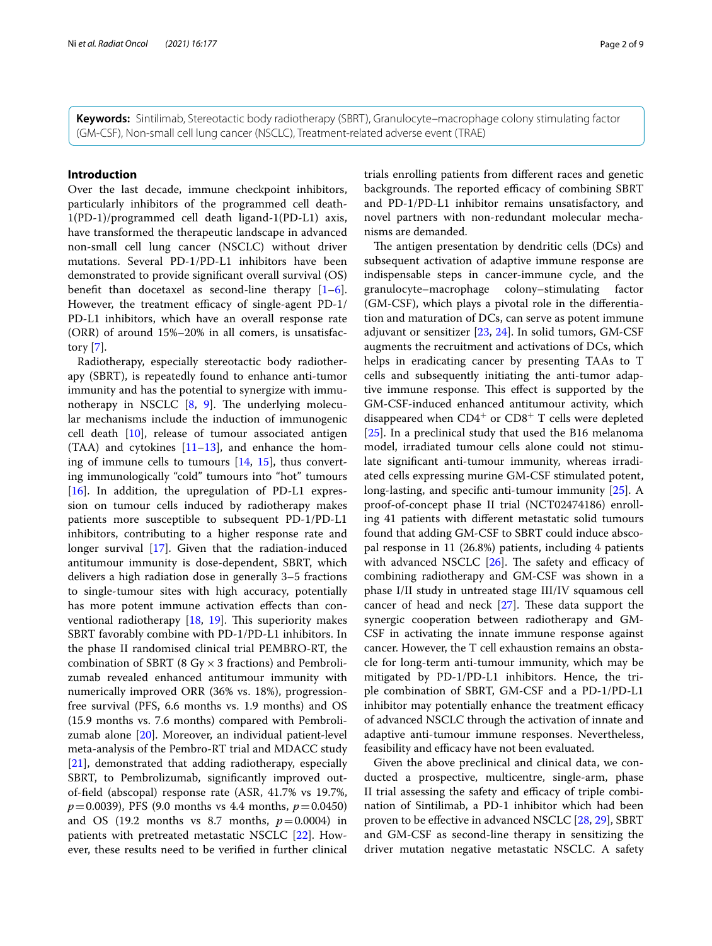**Keywords:** Sintilimab, Stereotactic body radiotherapy (SBRT), Granulocyte–macrophage colony stimulating factor (GM-CSF), Non-small cell lung cancer (NSCLC), Treatment-related adverse event (TRAE)

### **Introduction**

Over the last decade, immune checkpoint inhibitors, particularly inhibitors of the programmed cell death-1(PD-1)/programmed cell death ligand-1(PD-L1) axis, have transformed the therapeutic landscape in advanced non-small cell lung cancer (NSCLC) without driver mutations. Several PD-1/PD-L1 inhibitors have been demonstrated to provide signifcant overall survival (OS) benefit than docetaxel as second-line therapy  $[1-6]$  $[1-6]$ . However, the treatment efficacy of single-agent PD-1/ PD-L1 inhibitors, which have an overall response rate (ORR) of around 15%–20% in all comers, is unsatisfactory [\[7](#page-6-2)].

Radiotherapy, especially stereotactic body radiotherapy (SBRT), is repeatedly found to enhance anti-tumor immunity and has the potential to synergize with immunotherapy in NSCLC  $[8, 9]$  $[8, 9]$  $[8, 9]$  $[8, 9]$  $[8, 9]$ . The underlying molecular mechanisms include the induction of immunogenic cell death [[10\]](#page-6-5), release of tumour associated antigen  $(TAA)$  and cytokines  $[11-13]$  $[11-13]$ , and enhance the homing of immune cells to tumours  $[14, 15]$  $[14, 15]$  $[14, 15]$  $[14, 15]$ , thus converting immunologically "cold" tumours into "hot" tumours [[16\]](#page-7-0). In addition, the upregulation of PD-L1 expression on tumour cells induced by radiotherapy makes patients more susceptible to subsequent PD-1/PD-L1 inhibitors, contributing to a higher response rate and longer survival [\[17\]](#page-7-1). Given that the radiation-induced antitumour immunity is dose-dependent, SBRT, which delivers a high radiation dose in generally 3–5 fractions to single-tumour sites with high accuracy, potentially has more potent immune activation efects than conventional radiotherapy  $[18, 19]$  $[18, 19]$  $[18, 19]$  $[18, 19]$ . This superiority makes SBRT favorably combine with PD-1/PD-L1 inhibitors. In the phase II randomised clinical trial PEMBRO-RT, the combination of SBRT (8 Gy  $\times$  3 fractions) and Pembrolizumab revealed enhanced antitumour immunity with numerically improved ORR (36% vs. 18%), progressionfree survival (PFS, 6.6 months vs. 1.9 months) and OS (15.9 months vs. 7.6 months) compared with Pembrolizumab alone [[20\]](#page-7-4). Moreover, an individual patient-level meta-analysis of the Pembro-RT trial and MDACC study [[21\]](#page-7-5), demonstrated that adding radiotherapy, especially SBRT, to Pembrolizumab, signifcantly improved outof-feld (abscopal) response rate (ASR, 41.7% vs 19.7%, *p*=0.0039), PFS (9.0 months vs 4.4 months, *p*=0.0450) and OS (19.2 months vs 8.7 months,  $p=0.0004$ ) in patients with pretreated metastatic NSCLC [[22\]](#page-7-6). However, these results need to be verifed in further clinical trials enrolling patients from diferent races and genetic backgrounds. The reported efficacy of combining SBRT and PD-1/PD-L1 inhibitor remains unsatisfactory, and novel partners with non-redundant molecular mechanisms are demanded.

The antigen presentation by dendritic cells (DCs) and subsequent activation of adaptive immune response are indispensable steps in cancer-immune cycle, and the granulocyte–macrophage colony–stimulating factor (GM-CSF), which plays a pivotal role in the diferentiation and maturation of DCs, can serve as potent immune adjuvant or sensitizer [[23](#page-7-7), [24](#page-7-8)]. In solid tumors, GM-CSF augments the recruitment and activations of DCs, which helps in eradicating cancer by presenting TAAs to T cells and subsequently initiating the anti-tumor adaptive immune response. This effect is supported by the GM-CSF-induced enhanced antitumour activity, which disappeared when  $CD4^+$  or  $CD8^+$  T cells were depleted [[25\]](#page-7-9). In a preclinical study that used the B16 melanoma model, irradiated tumour cells alone could not stimulate signifcant anti-tumour immunity, whereas irradiated cells expressing murine GM-CSF stimulated potent, long-lasting, and specifc anti-tumour immunity [[25\]](#page-7-9). A proof-of-concept phase II trial (NCT02474186) enrolling 41 patients with diferent metastatic solid tumours found that adding GM-CSF to SBRT could induce abscopal response in 11 (26.8%) patients, including 4 patients with advanced NSCLC  $[26]$  $[26]$ . The safety and efficacy of combining radiotherapy and GM-CSF was shown in a phase I/II study in untreated stage III/IV squamous cell cancer of head and neck  $[27]$  $[27]$ . These data support the synergic cooperation between radiotherapy and GM-CSF in activating the innate immune response against cancer. However, the T cell exhaustion remains an obstacle for long-term anti-tumour immunity, which may be mitigated by PD-1/PD-L1 inhibitors. Hence, the triple combination of SBRT, GM-CSF and a PD-1/PD-L1 inhibitor may potentially enhance the treatment efficacy of advanced NSCLC through the activation of innate and adaptive anti-tumour immune responses. Nevertheless, feasibility and efficacy have not been evaluated.

Given the above preclinical and clinical data, we conducted a prospective, multicentre, single-arm, phase II trial assessing the safety and efficacy of triple combination of Sintilimab, a PD-1 inhibitor which had been proven to be effective in advanced NSCLC [\[28](#page-7-12), [29\]](#page-7-13), SBRT and GM-CSF as second-line therapy in sensitizing the driver mutation negative metastatic NSCLC. A safety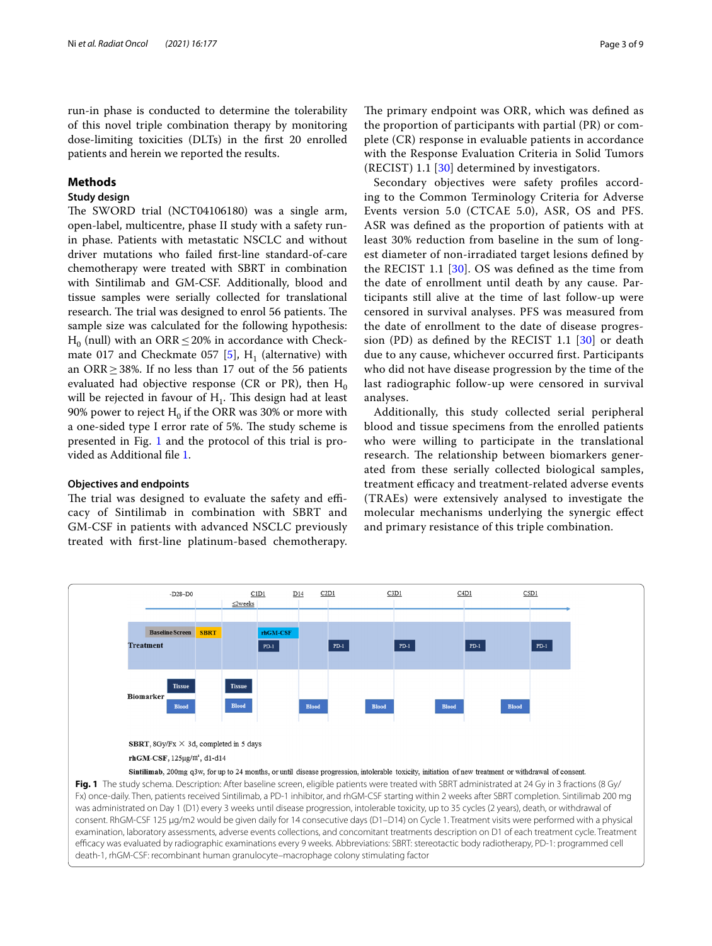of this novel triple combination therapy by monitoring dose-limiting toxicities (DLTs) in the frst 20 enrolled patients and herein we reported the results.

### **Methods**

### **Study design**

The SWORD trial (NCT04106180) was a single arm, open-label, multicentre, phase II study with a safety runin phase. Patients with metastatic NSCLC and without driver mutations who failed frst-line standard-of-care chemotherapy were treated with SBRT in combination with Sintilimab and GM-CSF. Additionally, blood and tissue samples were serially collected for translational research. The trial was designed to enrol 56 patients. The sample size was calculated for the following hypothesis:  $H_0$  (null) with an ORR  $\leq$  20% in accordance with Check-mate 017 and Checkmate 057 [\[5\]](#page-6-10),  $H_1$  (alternative) with an ORR  $\geq$  38%. If no less than 17 out of the 56 patients evaluated had objective response (CR or PR), then  $H_0$ will be rejected in favour of  $H_1$ . This design had at least 90% power to reject  $H_0$  if the ORR was 30% or more with a one-sided type I error rate of 5%. The study scheme is presented in Fig. [1](#page-2-0) and the protocol of this trial is provided as Additional fle [1.](#page-6-11)

### **Objectives and endpoints**

The trial was designed to evaluate the safety and efficacy of Sintilimab in combination with SBRT and GM-CSF in patients with advanced NSCLC previously treated with frst-line platinum-based chemotherapy.

The primary endpoint was ORR, which was defined as the proportion of participants with partial (PR) or complete (CR) response in evaluable patients in accordance with the Response Evaluation Criteria in Solid Tumors (RECIST) 1.1 [[30\]](#page-7-14) determined by investigators.

Secondary objectives were safety profles according to the Common Terminology Criteria for Adverse Events version 5.0 (CTCAE 5.0), ASR, OS and PFS. ASR was defned as the proportion of patients with at least 30% reduction from baseline in the sum of longest diameter of non-irradiated target lesions defned by the RECIST 1.1 [[30](#page-7-14)]. OS was defned as the time from the date of enrollment until death by any cause. Participants still alive at the time of last follow-up were censored in survival analyses. PFS was measured from the date of enrollment to the date of disease progression (PD) as defned by the RECIST 1.1 [\[30](#page-7-14)] or death due to any cause, whichever occurred frst. Participants who did not have disease progression by the time of the last radiographic follow-up were censored in survival analyses.

Additionally, this study collected serial peripheral blood and tissue specimens from the enrolled patients who were willing to participate in the translational research. The relationship between biomarkers generated from these serially collected biological samples, treatment efficacy and treatment-related adverse events (TRAEs) were extensively analysed to investigate the molecular mechanisms underlying the synergic efect and primary resistance of this triple combination.

<span id="page-2-0"></span>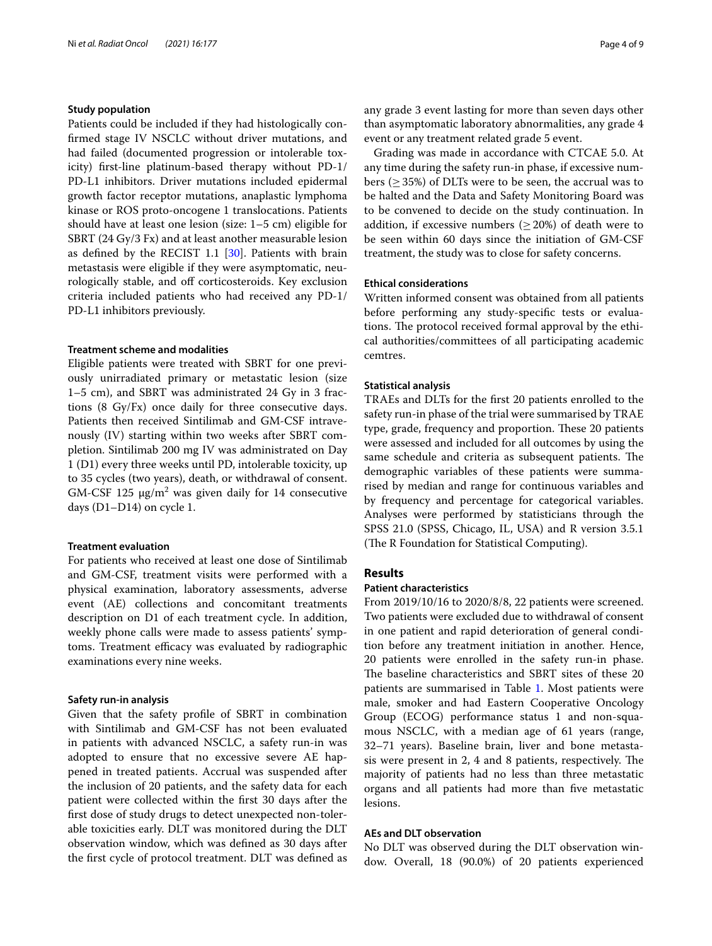#### **Study population**

Patients could be included if they had histologically confrmed stage IV NSCLC without driver mutations, and had failed (documented progression or intolerable toxicity) frst-line platinum-based therapy without PD-1/ PD-L1 inhibitors. Driver mutations included epidermal growth factor receptor mutations, anaplastic lymphoma kinase or ROS proto-oncogene 1 translocations. Patients should have at least one lesion (size: 1–5 cm) eligible for SBRT (24 Gy/3 Fx) and at least another measurable lesion as defned by the RECIST 1.1 [[30\]](#page-7-14). Patients with brain metastasis were eligible if they were asymptomatic, neurologically stable, and off corticosteroids. Key exclusion criteria included patients who had received any PD-1/ PD-L1 inhibitors previously.

#### **Treatment scheme and modalities**

Eligible patients were treated with SBRT for one previously unirradiated primary or metastatic lesion (size 1–5 cm), and SBRT was administrated 24 Gy in 3 fractions (8 Gy/Fx) once daily for three consecutive days. Patients then received Sintilimab and GM-CSF intravenously (IV) starting within two weeks after SBRT completion. Sintilimab 200 mg IV was administrated on Day 1 (D1) every three weeks until PD, intolerable toxicity, up to 35 cycles (two years), death, or withdrawal of consent.  $GM$ -CSF 125  $\mu$ g/m<sup>2</sup> was given daily for 14 consecutive days (D1–D14) on cycle 1.

### **Treatment evaluation**

For patients who received at least one dose of Sintilimab and GM-CSF, treatment visits were performed with a physical examination, laboratory assessments, adverse event (AE) collections and concomitant treatments description on D1 of each treatment cycle. In addition, weekly phone calls were made to assess patients' symptoms. Treatment efficacy was evaluated by radiographic examinations every nine weeks.

#### **Safety run‑in analysis**

Given that the safety profle of SBRT in combination with Sintilimab and GM-CSF has not been evaluated in patients with advanced NSCLC, a safety run-in was adopted to ensure that no excessive severe AE happened in treated patients. Accrual was suspended after the inclusion of 20 patients, and the safety data for each patient were collected within the frst 30 days after the frst dose of study drugs to detect unexpected non-tolerable toxicities early. DLT was monitored during the DLT observation window, which was defned as 30 days after the frst cycle of protocol treatment. DLT was defned as any grade 3 event lasting for more than seven days other than asymptomatic laboratory abnormalities, any grade 4 event or any treatment related grade 5 event.

Grading was made in accordance with CTCAE 5.0. At any time during the safety run-in phase, if excessive numbers ( $\geq$  35%) of DLTs were to be seen, the accrual was to be halted and the Data and Safety Monitoring Board was to be convened to decide on the study continuation. In addition, if excessive numbers ( $\geq$  20%) of death were to be seen within 60 days since the initiation of GM-CSF treatment, the study was to close for safety concerns.

#### **Ethical considerations**

Written informed consent was obtained from all patients before performing any study-specifc tests or evaluations. The protocol received formal approval by the ethical authorities/committees of all participating academic cemtres.

### **Statistical analysis**

TRAEs and DLTs for the frst 20 patients enrolled to the safety run-in phase of the trial were summarised by TRAE type, grade, frequency and proportion. These 20 patients were assessed and included for all outcomes by using the same schedule and criteria as subsequent patients. The demographic variables of these patients were summarised by median and range for continuous variables and by frequency and percentage for categorical variables. Analyses were performed by statisticians through the SPSS 21.0 (SPSS, Chicago, IL, USA) and R version 3.5.1 (The R Foundation for Statistical Computing).

### **Results**

#### **Patient characteristics**

From 2019/10/16 to 2020/8/8, 22 patients were screened. Two patients were excluded due to withdrawal of consent in one patient and rapid deterioration of general condition before any treatment initiation in another. Hence, 20 patients were enrolled in the safety run-in phase. The baseline characteristics and SBRT sites of these 20 patients are summarised in Table [1.](#page-4-0) Most patients were male, smoker and had Eastern Cooperative Oncology Group (ECOG) performance status 1 and non-squamous NSCLC, with a median age of 61 years (range, 32–71 years). Baseline brain, liver and bone metastasis were present in 2, 4 and 8 patients, respectively. The majority of patients had no less than three metastatic organs and all patients had more than fve metastatic lesions.

#### **AEs and DLT observation**

No DLT was observed during the DLT observation window. Overall, 18 (90.0%) of 20 patients experienced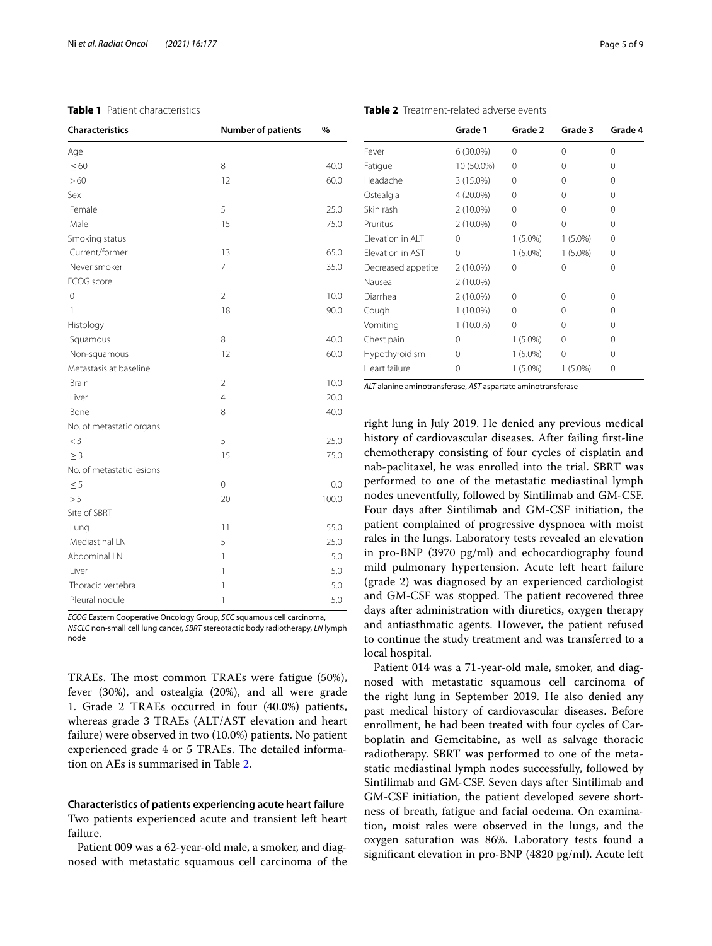### <span id="page-4-0"></span>**Table 1** Patient characteristics

| <b>Characteristics</b>    | <b>Number of patients</b> | %     |
|---------------------------|---------------------------|-------|
| Age                       |                           |       |
| $\leq 60$                 | 8                         | 40.0  |
| >60                       | 12                        | 60.0  |
| Sex                       |                           |       |
| Female                    | 5                         | 25.0  |
| Male                      | 15                        | 75.0  |
| Smoking status            |                           |       |
| Current/former            | 13                        | 65.0  |
| Never smoker              | $\overline{7}$            | 35.0  |
| ECOG score                |                           |       |
| $\overline{0}$            | $\overline{2}$            | 10.0  |
| 1                         | 18                        | 90.0  |
| Histology                 |                           |       |
| Squamous                  | 8                         | 40.0  |
| Non-squamous              | 12                        | 60.0  |
| Metastasis at baseline    |                           |       |
| <b>Brain</b>              | $\overline{2}$            | 10.0  |
| Liver                     | $\overline{4}$            | 20.0  |
| Bone                      | 8                         | 40.0  |
| No. of metastatic organs  |                           |       |
| $<$ 3                     | 5                         | 25.0  |
| $\geq 3$                  | 15                        | 75.0  |
| No. of metastatic lesions |                           |       |
| $\leq 5$                  | 0                         | 0.0   |
| > 5                       | 20                        | 100.0 |
| Site of SBRT              |                           |       |
| Lung                      | 11                        | 55.0  |
| Mediastinal LN            | 5                         | 25.0  |
| Abdominal LN              | 1                         | 5.0   |
| Liver                     | 1                         | 5.0   |
| Thoracic vertebra         | 1                         | 5.0   |
| Pleural nodule            | 1                         | 5.0   |

*ECOG* Eastern Cooperative Oncology Group, *SCC* squamous cell carcinoma, *NSCLC* non-small cell lung cancer, *SBRT* stereotactic body radiotherapy, *LN* lymph node

TRAEs. The most common TRAEs were fatigue (50%), fever (30%), and ostealgia (20%), and all were grade 1. Grade 2 TRAEs occurred in four (40.0%) patients, whereas grade 3 TRAEs (ALT/AST elevation and heart failure) were observed in two (10.0%) patients. No patient experienced grade 4 or 5 TRAEs. The detailed information on AEs is summarised in Table [2](#page-4-1).

## **Characteristics of patients experiencing acute heart failure**

Two patients experienced acute and transient left heart failure.

Patient 009 was a 62-year-old male, a smoker, and diagnosed with metastatic squamous cell carcinoma of the

|                         | Grade 1     | Grade 2    | Grade 3    | Grade 4 |
|-------------------------|-------------|------------|------------|---------|
| Fever                   | $6(30.0\%)$ | $\Omega$   | O          | 0       |
| Fatigue                 | 10 (50.0%)  | $\Omega$   | 0          | 0       |
| Headache                | 3 (15.0%)   | 0          | Ω          | 0       |
| Ostealgia               | 4 (20.0%)   | 0          | $\cap$     | 0       |
| Skin rash               | $2(10.0\%)$ | 0          | ∩          | 0       |
| Pruritus                | $2(10.0\%)$ | 0          | $\Omega$   | 0       |
| Flevation in ALT        | 0           | $1(5.0\%)$ | $1(5.0\%)$ | 0       |
| <b>Flevation in AST</b> | 0           | $1(5.0\%)$ | $1(5.0\%)$ | 0       |
| Decreased appetite      | $2(10.0\%)$ | 0          | $\Omega$   | 0       |
| Nausea                  | $2(10.0\%)$ |            |            |         |
| Diarrhea                | $2(10.0\%)$ | $\Omega$   | 0          | 0       |
| Cough                   | $1(10.0\%)$ | $\Omega$   | ∩          | 0       |
| Vomiting                | $1(10.0\%)$ | 0          | ∩          | 0       |
| Chest pain              | 0           | $1(5.0\%)$ | 0          | 0       |
| Hypothyroidism          | 0           | $1(5.0\%)$ | 0          | Ω       |
| Heart failure           | 0           | $1(5.0\%)$ | $1(5.0\%)$ | Ω       |

<span id="page-4-1"></span>**Table 2** Treatment-related adverse events

*ALT* alanine aminotransferase, *AST* aspartate aminotransferase

right lung in July 2019. He denied any previous medical history of cardiovascular diseases. After failing frst-line chemotherapy consisting of four cycles of cisplatin and nab-paclitaxel, he was enrolled into the trial. SBRT was performed to one of the metastatic mediastinal lymph nodes uneventfully, followed by Sintilimab and GM-CSF. Four days after Sintilimab and GM-CSF initiation, the patient complained of progressive dyspnoea with moist rales in the lungs. Laboratory tests revealed an elevation in pro-BNP (3970 pg/ml) and echocardiography found mild pulmonary hypertension. Acute left heart failure (grade 2) was diagnosed by an experienced cardiologist and GM-CSF was stopped. The patient recovered three days after administration with diuretics, oxygen therapy and antiasthmatic agents. However, the patient refused to continue the study treatment and was transferred to a local hospital.

Patient 014 was a 71-year-old male, smoker, and diagnosed with metastatic squamous cell carcinoma of the right lung in September 2019. He also denied any past medical history of cardiovascular diseases. Before enrollment, he had been treated with four cycles of Carboplatin and Gemcitabine, as well as salvage thoracic radiotherapy. SBRT was performed to one of the metastatic mediastinal lymph nodes successfully, followed by Sintilimab and GM-CSF. Seven days after Sintilimab and GM-CSF initiation, the patient developed severe shortness of breath, fatigue and facial oedema. On examination, moist rales were observed in the lungs, and the oxygen saturation was 86%. Laboratory tests found a signifcant elevation in pro-BNP (4820 pg/ml). Acute left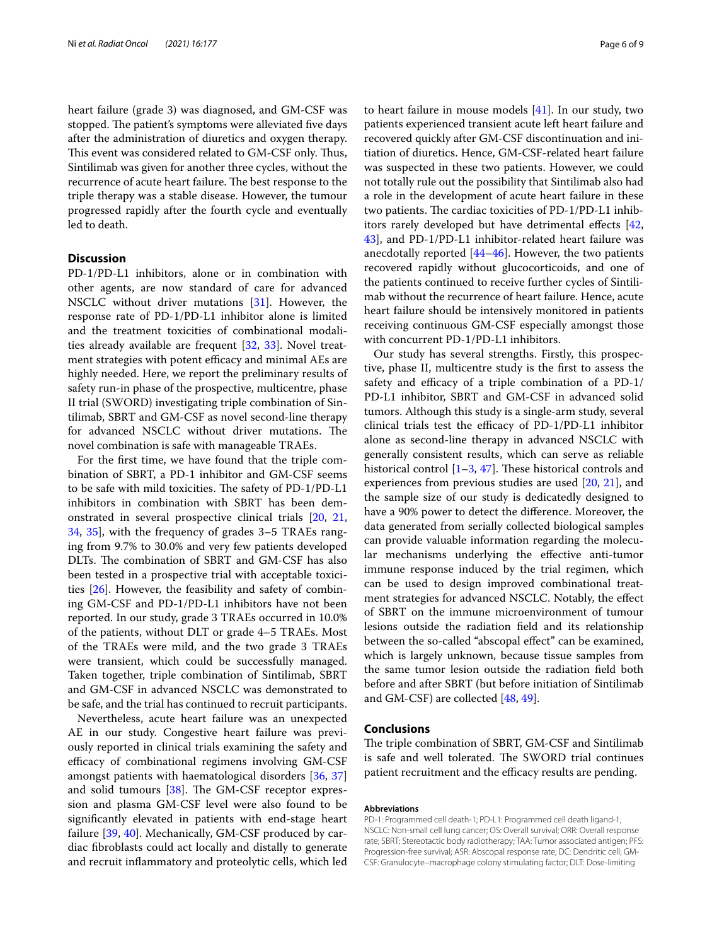heart failure (grade 3) was diagnosed, and GM-CSF was stopped. The patient's symptoms were alleviated five days after the administration of diuretics and oxygen therapy. This event was considered related to GM-CSF only. Thus, Sintilimab was given for another three cycles, without the recurrence of acute heart failure. The best response to the triple therapy was a stable disease. However, the tumour progressed rapidly after the fourth cycle and eventually led to death.

### **Discussion**

PD-1/PD-L1 inhibitors, alone or in combination with other agents, are now standard of care for advanced NSCLC without driver mutations [\[31](#page-7-15)]. However, the response rate of PD-1/PD-L1 inhibitor alone is limited and the treatment toxicities of combinational modalities already available are frequent [\[32](#page-7-16), [33\]](#page-7-17). Novel treatment strategies with potent efficacy and minimal AEs are highly needed. Here, we report the preliminary results of safety run-in phase of the prospective, multicentre, phase II trial (SWORD) investigating triple combination of Sintilimab, SBRT and GM-CSF as novel second-line therapy for advanced NSCLC without driver mutations. The novel combination is safe with manageable TRAEs.

For the frst time, we have found that the triple combination of SBRT, a PD-1 inhibitor and GM-CSF seems to be safe with mild toxicities. The safety of PD-1/PD-L1 inhibitors in combination with SBRT has been demonstrated in several prospective clinical trials [[20](#page-7-4), [21](#page-7-5), [34,](#page-7-18) [35](#page-7-19)], with the frequency of grades 3–5 TRAEs ranging from 9.7% to 30.0% and very few patients developed DLTs. The combination of SBRT and GM-CSF has also been tested in a prospective trial with acceptable toxicities [[26\]](#page-7-10). However, the feasibility and safety of combining GM-CSF and PD-1/PD-L1 inhibitors have not been reported. In our study, grade 3 TRAEs occurred in 10.0% of the patients, without DLT or grade 4–5 TRAEs. Most of the TRAEs were mild, and the two grade 3 TRAEs were transient, which could be successfully managed. Taken together, triple combination of Sintilimab, SBRT and GM-CSF in advanced NSCLC was demonstrated to be safe, and the trial has continued to recruit participants.

Nevertheless, acute heart failure was an unexpected AE in our study. Congestive heart failure was previously reported in clinical trials examining the safety and efficacy of combinational regimens involving GM-CSF amongst patients with haematological disorders [\[36,](#page-7-20) [37](#page-7-21)] and solid tumours  $[38]$  $[38]$ . The GM-CSF receptor expression and plasma GM-CSF level were also found to be signifcantly elevated in patients with end-stage heart failure [[39,](#page-7-23) [40](#page-7-24)]. Mechanically, GM-CSF produced by cardiac fbroblasts could act locally and distally to generate and recruit infammatory and proteolytic cells, which led

to heart failure in mouse models [\[41\]](#page-7-25). In our study, two patients experienced transient acute left heart failure and recovered quickly after GM-CSF discontinuation and initiation of diuretics. Hence, GM-CSF-related heart failure was suspected in these two patients. However, we could not totally rule out the possibility that Sintilimab also had a role in the development of acute heart failure in these two patients. The cardiac toxicities of PD-1/PD-L1 inhibitors rarely developed but have detrimental efects [[42](#page-7-26), [43\]](#page-7-27), and PD-1/PD-L1 inhibitor-related heart failure was anecdotally reported [\[44](#page-7-28)–[46\]](#page-7-29). However, the two patients recovered rapidly without glucocorticoids, and one of the patients continued to receive further cycles of Sintilimab without the recurrence of heart failure. Hence, acute heart failure should be intensively monitored in patients receiving continuous GM-CSF especially amongst those with concurrent PD-1/PD-L1 inhibitors.

Our study has several strengths. Firstly, this prospective, phase II, multicentre study is the frst to assess the safety and efficacy of a triple combination of a  $PD-1/$ PD-L1 inhibitor, SBRT and GM-CSF in advanced solid tumors. Although this study is a single-arm study, several clinical trials test the efficacy of  $PD-1/PD-L1$  inhibitor alone as second-line therapy in advanced NSCLC with generally consistent results, which can serve as reliable historical control  $[1-3, 47]$  $[1-3, 47]$  $[1-3, 47]$  $[1-3, 47]$  $[1-3, 47]$ . These historical controls and experiences from previous studies are used [[20,](#page-7-4) [21\]](#page-7-5), and the sample size of our study is dedicatedly designed to have a 90% power to detect the diference. Moreover, the data generated from serially collected biological samples can provide valuable information regarding the molecular mechanisms underlying the efective anti-tumor immune response induced by the trial regimen, which can be used to design improved combinational treatment strategies for advanced NSCLC. Notably, the efect of SBRT on the immune microenvironment of tumour lesions outside the radiation feld and its relationship between the so-called "abscopal efect" can be examined, which is largely unknown, because tissue samples from the same tumor lesion outside the radiation feld both before and after SBRT (but before initiation of Sintilimab and GM-CSF) are collected [[48,](#page-8-0) [49](#page-8-1)].

### **Conclusions**

The triple combination of SBRT, GM-CSF and Sintilimab is safe and well tolerated. The SWORD trial continues patient recruitment and the efficacy results are pending.

#### **Abbreviations**

PD-1: Programmed cell death-1; PD-L1: Programmed cell death ligand-1; NSCLC: Non-small cell lung cancer; OS: Overall survival; ORR: Overall response rate; SBRT: Stereotactic body radiotherapy; TAA: Tumor associated antigen; PFS: Progression-free survival; ASR: Abscopal response rate; DC: Dendritic cell; GM-CSF: Granulocyte–macrophage colony stimulating factor; DLT: Dose-limiting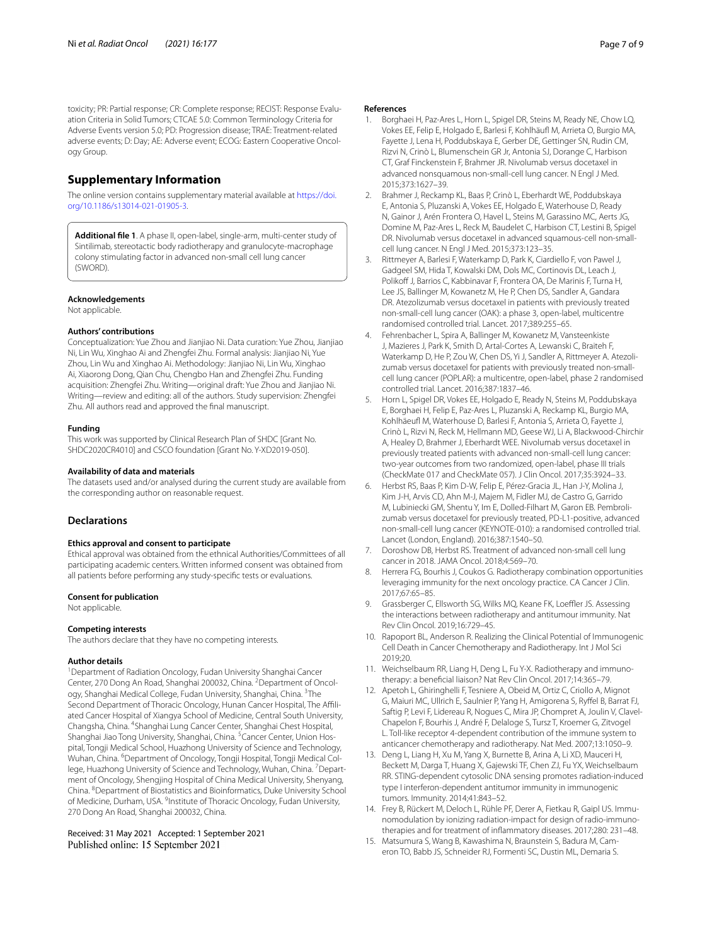toxicity; PR: Partial response; CR: Complete response; RECIST: Response Evaluation Criteria in Solid Tumors; CTCAE 5.0: Common Terminology Criteria for Adverse Events version 5.0; PD: Progression disease; TRAE: Treatment-related adverse events; D: Day; AE: Adverse event; ECOG: Eastern Cooperative Oncology Group.

### **Supplementary Information**

The online version contains supplementary material available at [https://doi.](https://doi.org/10.1186/s13014-021-01905-3) [org/10.1186/s13014-021-01905-3](https://doi.org/10.1186/s13014-021-01905-3).

<span id="page-6-11"></span>**Additional fle 1**. A phase II, open-label, single-arm, multi-center study of Sintilimab, stereotactic body radiotherapy and granulocyte-macrophage colony stimulating factor in advanced non-small cell lung cancer (SWORD).

#### **Acknowledgements**

Not applicable.

#### **Authors' contributions**

Conceptualization: Yue Zhou and Jianjiao Ni. Data curation: Yue Zhou, Jianjiao Ni, Lin Wu, Xinghao Ai and Zhengfei Zhu. Formal analysis: Jianjiao Ni, Yue Zhou, Lin Wu and Xinghao Ai. Methodology: Jianjiao Ni, Lin Wu, Xinghao Ai, Xiaorong Dong, Qian Chu, Chengbo Han and Zhengfei Zhu. Funding acquisition: Zhengfei Zhu. Writing—original draft: Yue Zhou and Jianjiao Ni. Writing—review and editing: all of the authors. Study supervision: Zhengfei Zhu. All authors read and approved the fnal manuscript.

#### **Funding**

This work was supported by Clinical Research Plan of SHDC [Grant No. SHDC2020CR4010] and CSCO foundation [Grant No. Y-XD2019-050].

#### **Availability of data and materials**

The datasets used and/or analysed during the current study are available from the corresponding author on reasonable request.

### **Declarations**

#### **Ethics approval and consent to participate**

Ethical approval was obtained from the ethnical Authorities/Committees of all participating academic centers. Written informed consent was obtained from all patients before performing any study-specifc tests or evaluations.

#### **Consent for publication**

Not applicable.

#### **Competing interests**

The authors declare that they have no competing interests.

#### **Author details**

<sup>1</sup> Department of Radiation Oncology, Fudan University Shanghai Cancer Center, 270 Dong An Road, Shanghai 200032, China. <sup>2</sup> Department of Oncology, Shanghai Medical College, Fudan University, Shanghai, China. <sup>3</sup>The Second Department of Thoracic Oncology, Hunan Cancer Hospital, The Afliated Cancer Hospital of Xiangya School of Medicine, Central South University, Changsha, China. <sup>4</sup>Shanghai Lung Cancer Center, Shanghai Chest Hospital, Shanghai Jiao Tong University, Shanghai, China. <sup>5</sup> Cancer Center, Union Hospital, Tongji Medical School, Huazhong University of Science and Technology, Wuhan, China. <sup>6</sup>Department of Oncology, Tongji Hospital, Tongji Medical College, Huazhong University of Science and Technology, Wuhan, China. <sup>7</sup> Department of Oncology, Shengjing Hospital of China Medical University, Shenyang, China. <sup>8</sup> Department of Biostatistics and Bioinformatics, Duke University School of Medicine, Durham, USA. <sup>9</sup>Institute of Thoracic Oncology, Fudan University, 270 Dong An Road, Shanghai 200032, China.

Received: 31 May 2021 Accepted: 1 September 2021 Published online: 15 September 2021

#### **References**

- <span id="page-6-0"></span>Borghaei H, Paz-Ares L, Horn L, Spigel DR, Steins M, Ready NE, Chow LQ, Vokes EE, Felip E, Holgado E, Barlesi F, Kohlhäuf M, Arrieta O, Burgio MA, Fayette J, Lena H, Poddubskaya E, Gerber DE, Gettinger SN, Rudin CM, Rizvi N, Crinò L, Blumenschein GR Jr, Antonia SJ, Dorange C, Harbison CT, Graf Finckenstein F, Brahmer JR. Nivolumab versus docetaxel in advanced nonsquamous non-small-cell lung cancer. N Engl J Med. 2015;373:1627–39.
- 2. Brahmer J, Reckamp KL, Baas P, Crinò L, Eberhardt WE, Poddubskaya E, Antonia S, Pluzanski A, Vokes EE, Holgado E, Waterhouse D, Ready N, Gainor J, Arén Frontera O, Havel L, Steins M, Garassino MC, Aerts JG, Domine M, Paz-Ares L, Reck M, Baudelet C, Harbison CT, Lestini B, Spigel DR. Nivolumab versus docetaxel in advanced squamous-cell non-smallcell lung cancer. N Engl J Med. 2015;373:123–35.
- <span id="page-6-12"></span>3. Rittmeyer A, Barlesi F, Waterkamp D, Park K, Ciardiello F, von Pawel J, Gadgeel SM, Hida T, Kowalski DM, Dols MC, Cortinovis DL, Leach J, Polikoff J, Barrios C, Kabbinavar F, Frontera OA, De Marinis F, Turna H, Lee JS, Ballinger M, Kowanetz M, He P, Chen DS, Sandler A, Gandara DR. Atezolizumab versus docetaxel in patients with previously treated non-small-cell lung cancer (OAK): a phase 3, open-label, multicentre randomised controlled trial. Lancet. 2017;389:255–65.
- 4. Fehrenbacher L, Spira A, Ballinger M, Kowanetz M, Vansteenkiste J, Mazieres J, Park K, Smith D, Artal-Cortes A, Lewanski C, Braiteh F, Waterkamp D, He P, Zou W, Chen DS, Yi J, Sandler A, Rittmeyer A. Atezolizumab versus docetaxel for patients with previously treated non-smallcell lung cancer (POPLAR): a multicentre, open-label, phase 2 randomised controlled trial. Lancet. 2016;387:1837–46.
- <span id="page-6-10"></span>5. Horn L, Spigel DR, Vokes EE, Holgado E, Ready N, Steins M, Poddubskaya E, Borghaei H, Felip E, Paz-Ares L, Pluzanski A, Reckamp KL, Burgio MA, Kohlhäeufl M, Waterhouse D, Barlesi F, Antonia S, Arrieta O, Fayette J, Crinò L, Rizvi N, Reck M, Hellmann MD, Geese WJ, Li A, Blackwood-Chirchir A, Healey D, Brahmer J, Eberhardt WEE. Nivolumab versus docetaxel in previously treated patients with advanced non-small-cell lung cancer: two-year outcomes from two randomized, open-label, phase III trials (CheckMate 017 and CheckMate 057). J Clin Oncol. 2017;35:3924–33.
- <span id="page-6-1"></span>Herbst RS, Baas P, Kim D-W, Felip E, Pérez-Gracia JL, Han J-Y, Molina J, Kim J-H, Arvis CD, Ahn M-J, Majem M, Fidler MJ, de Castro G, Garrido M, Lubiniecki GM, Shentu Y, Im E, Dolled-Filhart M, Garon EB. Pembrolizumab versus docetaxel for previously treated, PD-L1-positive, advanced non-small-cell lung cancer (KEYNOTE-010): a randomised controlled trial. Lancet (London, England). 2016;387:1540–50.
- <span id="page-6-2"></span>7. Doroshow DB, Herbst RS. Treatment of advanced non-small cell lung cancer in 2018. JAMA Oncol. 2018;4:569–70.
- <span id="page-6-3"></span>8. Herrera FG, Bourhis J, Coukos G. Radiotherapy combination opportunities leveraging immunity for the next oncology practice. CA Cancer J Clin. 2017;67:65–85.
- <span id="page-6-4"></span>9. Grassberger C, Ellsworth SG, Wilks MQ, Keane FK, Loeffler JS. Assessing the interactions between radiotherapy and antitumour immunity. Nat Rev Clin Oncol. 2019;16:729–45.
- <span id="page-6-5"></span>10. Rapoport BL, Anderson R. Realizing the Clinical Potential of Immunogenic Cell Death in Cancer Chemotherapy and Radiotherapy. Int J Mol Sci 2019;20.
- <span id="page-6-6"></span>11. Weichselbaum RR, Liang H, Deng L, Fu Y-X. Radiotherapy and immunotherapy: a benefcial liaison? Nat Rev Clin Oncol. 2017;14:365–79.
- 12. Apetoh L, Ghiringhelli F, Tesniere A, Obeid M, Ortiz C, Criollo A, Mignot G, Maiuri MC, Ullrich E, Saulnier P, Yang H, Amigorena S, Ryfel B, Barrat FJ, Saftig P, Levi F, Lidereau R, Nogues C, Mira JP, Chompret A, Joulin V, Clavel-Chapelon F, Bourhis J, André F, Delaloge S, Tursz T, Kroemer G, Zitvogel L. Toll-like receptor 4-dependent contribution of the immune system to anticancer chemotherapy and radiotherapy. Nat Med. 2007;13:1050–9.
- <span id="page-6-7"></span>13. Deng L, Liang H, Xu M, Yang X, Burnette B, Arina A, Li XD, Mauceri H, Beckett M, Darga T, Huang X, Gajewski TF, Chen ZJ, Fu YX, Weichselbaum RR. STING-dependent cytosolic DNA sensing promotes radiation-induced type I interferon-dependent antitumor immunity in immunogenic tumors. Immunity. 2014;41:843–52.
- <span id="page-6-8"></span>14. Frey B, Rückert M, Deloch L, Rühle PF, Derer A, Fietkau R, Gaipl US. Immunomodulation by ionizing radiation-impact for design of radio-immunotherapies and for treatment of infammatory diseases. 2017;280: 231–48.
- <span id="page-6-9"></span>15. Matsumura S, Wang B, Kawashima N, Braunstein S, Badura M, Cameron TO, Babb JS, Schneider RJ, Formenti SC, Dustin ML, Demaria S.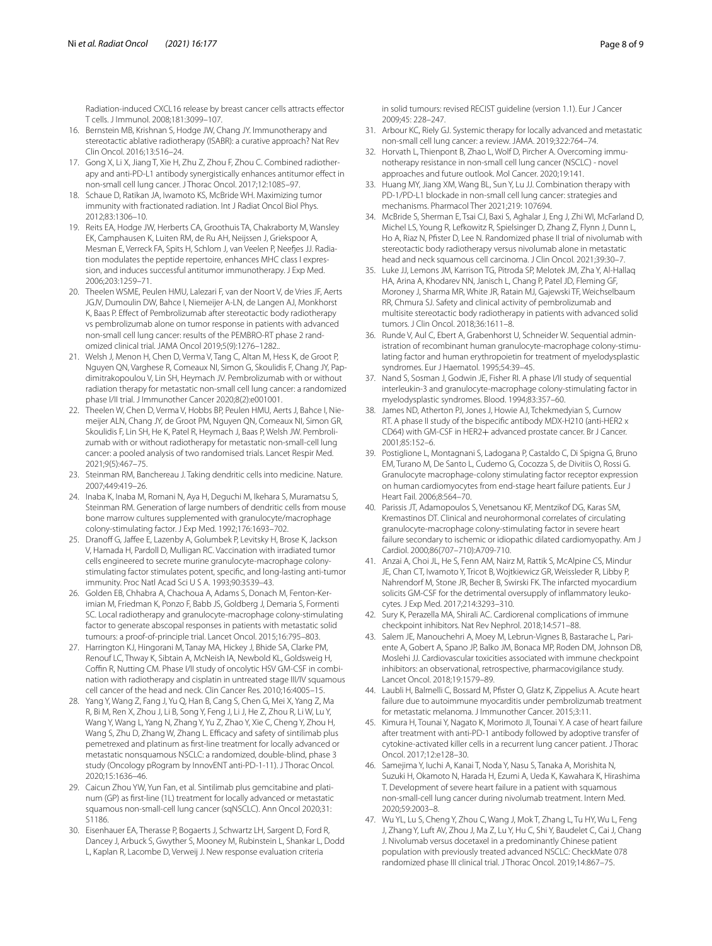Radiation-induced CXCL16 release by breast cancer cells attracts efector T cells. J Immunol. 2008;181:3099–107.

- <span id="page-7-0"></span>16. Bernstein MB, Krishnan S, Hodge JW, Chang JY. Immunotherapy and stereotactic ablative radiotherapy (ISABR): a curative approach? Nat Rev Clin Oncol. 2016;13:516–24.
- <span id="page-7-1"></span>17. Gong X, Li X, Jiang T, Xie H, Zhu Z, Zhou F, Zhou C. Combined radiotherapy and anti-PD-L1 antibody synergistically enhances antitumor efect in non-small cell lung cancer. J Thorac Oncol. 2017;12:1085–97.
- <span id="page-7-2"></span>18. Schaue D, Ratikan JA, Iwamoto KS, McBride WH. Maximizing tumor immunity with fractionated radiation. Int J Radiat Oncol Biol Phys. 2012;83:1306–10.
- <span id="page-7-3"></span>19. Reits EA, Hodge JW, Herberts CA, Groothuis TA, Chakraborty M, Wansley EK, Camphausen K, Luiten RM, de Ru AH, Neijssen J, Griekspoor A, Mesman E, Verreck FA, Spits H, Schlom J, van Veelen P, Neefes JJ. Radiation modulates the peptide repertoire, enhances MHC class I expression, and induces successful antitumor immunotherapy. J Exp Med. 2006;203:1259–71.
- <span id="page-7-4"></span>20. Theelen WSME, Peulen HMU, Lalezari F, van der Noort V, de Vries JF, Aerts JGJV, Dumoulin DW, Bahce I, Niemeijer A-LN, de Langen AJ, Monkhorst K, Baas P. Efect of Pembrolizumab after stereotactic body radiotherapy vs pembrolizumab alone on tumor response in patients with advanced non-small cell lung cancer: results of the PEMBRO-RT phase 2 randomized clinical trial. JAMA Oncol 2019;5(9):1276–1282..
- <span id="page-7-5"></span>21. Welsh J, Menon H, Chen D, Verma V, Tang C, Altan M, Hess K, de Groot P, Nguyen QN, Varghese R, Comeaux NI, Simon G, Skoulidis F, Chang JY, Papdimitrakopoulou V, Lin SH, Heymach JV. Pembrolizumab with or without radiation therapy for metastatic non-small cell lung cancer: a randomized phase I/II trial. J Immunother Cancer 2020;8(2):e001001.
- <span id="page-7-6"></span>22. Theelen W, Chen D, Verma V, Hobbs BP, Peulen HMU, Aerts J, Bahce I, Niemeijer ALN, Chang JY, de Groot PM, Nguyen QN, Comeaux NI, Simon GR, Skoulidis F, Lin SH, He K, Patel R, Heymach J, Baas P, Welsh JW. Pembrolizumab with or without radiotherapy for metastatic non-small-cell lung cancer: a pooled analysis of two randomised trials. Lancet Respir Med. 2021;9(5):467–75.
- <span id="page-7-7"></span>23. Steinman RM, Banchereau J. Taking dendritic cells into medicine. Nature. 2007;449:419–26.
- <span id="page-7-8"></span>24. Inaba K, Inaba M, Romani N, Aya H, Deguchi M, Ikehara S, Muramatsu S, Steinman RM. Generation of large numbers of dendritic cells from mouse bone marrow cultures supplemented with granulocyte/macrophage colony-stimulating factor. J Exp Med. 1992;176:1693–702.
- <span id="page-7-9"></span>25. Dranoff G, Jaffee E, Lazenby A, Golumbek P, Levitsky H, Brose K, Jackson V, Hamada H, Pardoll D, Mulligan RC. Vaccination with irradiated tumor cells engineered to secrete murine granulocyte-macrophage colonystimulating factor stimulates potent, specifc, and long-lasting anti-tumor immunity. Proc Natl Acad Sci U S A. 1993;90:3539–43.
- <span id="page-7-10"></span>26. Golden EB, Chhabra A, Chachoua A, Adams S, Donach M, Fenton-Kerimian M, Friedman K, Ponzo F, Babb JS, Goldberg J, Demaria S, Formenti SC. Local radiotherapy and granulocyte-macrophage colony-stimulating factor to generate abscopal responses in patients with metastatic solid tumours: a proof-of-principle trial. Lancet Oncol. 2015;16:795–803.
- <span id="page-7-11"></span>27. Harrington KJ, Hingorani M, Tanay MA, Hickey J, Bhide SA, Clarke PM, Renouf LC, Thway K, Sibtain A, McNeish IA, Newbold KL, Goldsweig H, Coffin R, Nutting CM. Phase I/II study of oncolytic HSV GM-CSF in combination with radiotherapy and cisplatin in untreated stage III/IV squamous cell cancer of the head and neck. Clin Cancer Res. 2010;16:4005–15.
- <span id="page-7-12"></span>28. Yang Y, Wang Z, Fang J, Yu Q, Han B, Cang S, Chen G, Mei X, Yang Z, Ma R, Bi M, Ren X, Zhou J, Li B, Song Y, Feng J, Li J, He Z, Zhou R, Li W, Lu Y, Wang Y, Wang L, Yang N, Zhang Y, Yu Z, Zhao Y, Xie C, Cheng Y, Zhou H, Wang S, Zhu D, Zhang W, Zhang L. Efficacy and safety of sintilimab plus pemetrexed and platinum as frst-line treatment for locally advanced or metastatic nonsquamous NSCLC: a randomized, double-blind, phase 3 study (Oncology pRogram by InnovENT anti-PD-1-11). J Thorac Oncol. 2020;15:1636–46.
- <span id="page-7-13"></span>29. Caicun Zhou YW, Yun Fan, et al. Sintilimab plus gemcitabine and platinum (GP) as frst-line (1L) treatment for locally advanced or metastatic squamous non-small-cell lung cancer (sqNSCLC). Ann Oncol 2020;31: S1186.
- <span id="page-7-14"></span>30. Eisenhauer EA, Therasse P, Bogaerts J, Schwartz LH, Sargent D, Ford R, Dancey J, Arbuck S, Gwyther S, Mooney M, Rubinstein L, Shankar L, Dodd L, Kaplan R, Lacombe D, Verweij J. New response evaluation criteria

in solid tumours: revised RECIST guideline (version 1.1). Eur J Cancer 2009;45: 228–247.

- <span id="page-7-15"></span>31. Arbour KC, Riely GJ. Systemic therapy for locally advanced and metastatic non-small cell lung cancer: a review. JAMA. 2019;322:764–74.
- <span id="page-7-16"></span>32. Horvath L, Thienpont B, Zhao L, Wolf D, Pircher A. Overcoming immunotherapy resistance in non-small cell lung cancer (NSCLC) - novel approaches and future outlook. Mol Cancer. 2020;19:141.
- <span id="page-7-17"></span>33. Huang MY, Jiang XM, Wang BL, Sun Y, Lu JJ. Combination therapy with PD-1/PD-L1 blockade in non-small cell lung cancer: strategies and mechanisms. Pharmacol Ther 2021;219: 107694.
- <span id="page-7-18"></span>34. McBride S, Sherman E, Tsai CJ, Baxi S, Aghalar J, Eng J, Zhi WI, McFarland D, Michel LS, Young R, Lefkowitz R, Spielsinger D, Zhang Z, Flynn J, Dunn L, Ho A, Riaz N, Pfster D, Lee N. Randomized phase II trial of nivolumab with stereotactic body radiotherapy versus nivolumab alone in metastatic head and neck squamous cell carcinoma. J Clin Oncol. 2021;39:30–7.
- <span id="page-7-19"></span>35. Luke JJ, Lemons JM, Karrison TG, Pitroda SP, Melotek JM, Zha Y, Al-Hallaq HA, Arina A, Khodarev NN, Janisch L, Chang P, Patel JD, Fleming GF, Moroney J, Sharma MR, White JR, Ratain MJ, Gajewski TF, Weichselbaum RR, Chmura SJ. Safety and clinical activity of pembrolizumab and multisite stereotactic body radiotherapy in patients with advanced solid tumors. J Clin Oncol. 2018;36:1611–8.
- <span id="page-7-20"></span>36. Runde V, Aul C, Ebert A, Grabenhorst U, Schneider W. Sequential administration of recombinant human granulocyte-macrophage colony-stimulating factor and human erythropoietin for treatment of myelodysplastic syndromes. Eur J Haematol. 1995;54:39–45.
- <span id="page-7-21"></span>37. Nand S, Sosman J, Godwin JE, Fisher RI. A phase I/II study of sequential interleukin-3 and granulocyte-macrophage colony-stimulating factor in myelodysplastic syndromes. Blood. 1994;83:357–60.
- <span id="page-7-22"></span>38. James ND, Atherton PJ, Jones J, Howie AJ, Tchekmedyian S, Curnow RT. A phase II study of the bispecifc antibody MDX-H210 (anti-HER2 x CD64) with GM-CSF in HER2+ advanced prostate cancer. Br J Cancer. 2001;85:152–6.
- <span id="page-7-23"></span>39. Postiglione L, Montagnani S, Ladogana P, Castaldo C, Di Spigna G, Bruno EM, Turano M, De Santo L, Cudemo G, Cocozza S, de Divitiis O, Rossi G. Granulocyte macrophage-colony stimulating factor receptor expression on human cardiomyocytes from end-stage heart failure patients. Eur J Heart Fail. 2006;8:564–70.
- <span id="page-7-24"></span>40. Parissis JT, Adamopoulos S, Venetsanou KF, Mentzikof DG, Karas SM, Kremastinos DT. Clinical and neurohormonal correlates of circulating granulocyte-macrophage colony-stimulating factor in severe heart failure secondary to ischemic or idiopathic dilated cardiomyopathy. Am J Cardiol. 2000;86(707–710):A709-710.
- <span id="page-7-25"></span>41. Anzai A, Choi JL, He S, Fenn AM, Nairz M, Rattik S, McAlpine CS, Mindur JE, Chan CT, Iwamoto Y, Tricot B, Wojtkiewicz GR, Weissleder R, Libby P, Nahrendorf M, Stone JR, Becher B, Swirski FK. The infarcted myocardium solicits GM-CSF for the detrimental oversupply of infammatory leukocytes. J Exp Med. 2017;214:3293–310.
- <span id="page-7-26"></span>42. Sury K, Perazella MA, Shirali AC. Cardiorenal complications of immune checkpoint inhibitors. Nat Rev Nephrol. 2018;14:571–88.
- <span id="page-7-27"></span>43. Salem JE, Manouchehri A, Moey M, Lebrun-Vignes B, Bastarache L, Pariente A, Gobert A, Spano JP, Balko JM, Bonaca MP, Roden DM, Johnson DB, Moslehi JJ. Cardiovascular toxicities associated with immune checkpoint inhibitors: an observational, retrospective, pharmacovigilance study. Lancet Oncol. 2018;19:1579–89.
- <span id="page-7-28"></span>44. Laubli H, Balmelli C, Bossard M, Pfster O, Glatz K, Zippelius A. Acute heart failure due to autoimmune myocarditis under pembrolizumab treatment for metastatic melanoma. J Immunother Cancer. 2015;3:11.
- 45. Kimura H, Tounai Y, Nagato K, Morimoto JI, Tounai Y. A case of heart failure after treatment with anti-PD-1 antibody followed by adoptive transfer of cytokine-activated killer cells in a recurrent lung cancer patient. J Thorac Oncol. 2017;12:e128–30.
- <span id="page-7-29"></span>46. Samejima Y, Iuchi A, Kanai T, Noda Y, Nasu S, Tanaka A, Morishita N, Suzuki H, Okamoto N, Harada H, Ezumi A, Ueda K, Kawahara K, Hirashima T. Development of severe heart failure in a patient with squamous non-small-cell lung cancer during nivolumab treatment. Intern Med. 2020;59:2003–8.
- <span id="page-7-30"></span>47. Wu YL, Lu S, Cheng Y, Zhou C, Wang J, Mok T, Zhang L, Tu HY, Wu L, Feng J, Zhang Y, Luft AV, Zhou J, Ma Z, Lu Y, Hu C, Shi Y, Baudelet C, Cai J, Chang J. Nivolumab versus docetaxel in a predominantly Chinese patient population with previously treated advanced NSCLC: CheckMate 078 randomized phase III clinical trial. J Thorac Oncol. 2019;14:867–75.